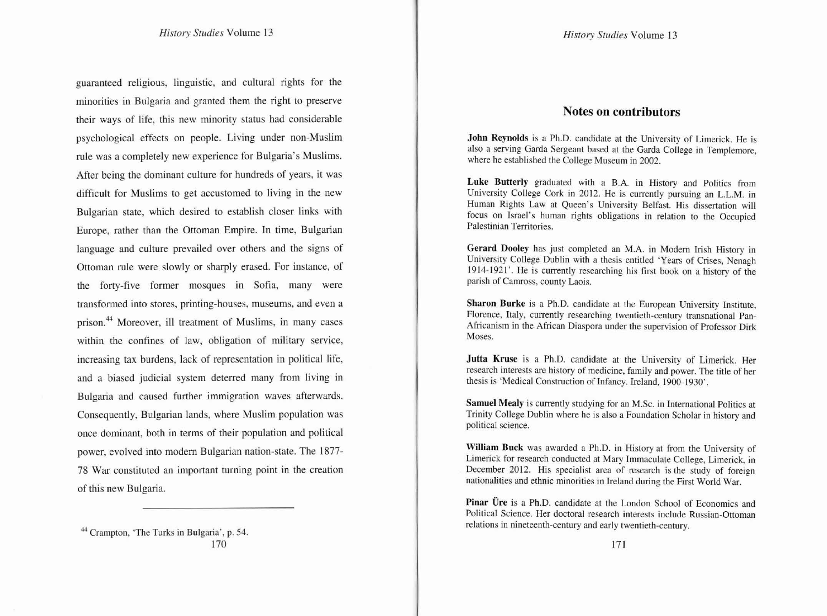## Notes on contributors

John Reynolds is a Ph.D. candidate at the University of Limerick. He is also a serving Garda Sergeant based at the Garda College in Templemore, where he established the College Museum in 2002.

Luke Butterly graduated with a B.A. in History and Politics from University College Cork in 2012. He is currently pursuing an L.L.M. in Human Rights Law at Queen's University Belfast. His dissertation will focus on Israel's human rights obligations in relation to the Occupied Palestinian Territories.

Gerard Dooley has just completed an M.A. in Modern Irish History in University College Dublin with a thesis entitled 'Years of Crises. Nenagh 1914-1921'. He is currently researching his first book on a history of the parish of Camross, county Laois.

Sharon Burke is a Ph.D. candidate at the European University Institute, Florence. Italy, currently researching twentieth-century transnational Pan-Africanism in the African Diaspora under the supervision of Professor Dirk Moses.

Jutta Kruse is a Ph.D. candidate at the University of Limerick. Her research interests are history of medicine, family and power. The title of her thesis is 'Medical Construction of Infancy. Ireland, 1900-1930'.

Samuel Mealy is currently studying for an M.Sc. in International Politics at Trinity College Dublin where he is also a Foundation Scholar in history and political science.

William Buck was awarded a Ph.D. in History at from the University of Limerick for research conducted at Mary Immaculate College, Limerick, in December 2012. His specialist area of research is the study of foreign nationalities and ethnic minorities in Ireland during the First World War.

Pinar Ure is a Ph.D. candidate at the London School of Economics and Political Science. Her doctoral research interests include Russian-Ottoman relations in nineteenth-century and early twentieth-century.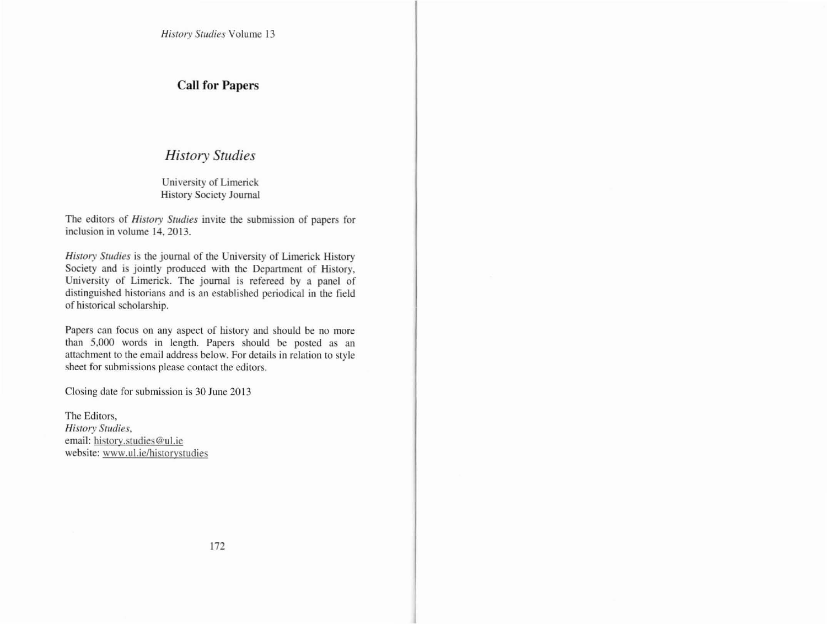*History Studies* Volume 13

## **Call for Papers**

## *History Studies*

**University of Limerick** History Society Journal

**The editors of** *History Studies* **invite the submission of papers for** inclusion in volume 14,2013.

*HislOlY Studies* **is the journal of the University of Limerick History** Society and is jointly produced with the Department of History, University of Limerick. The journal is refereed by a panel of **distinguished historians and is an established periodical in the field** of historical scholarship.

**Papers can focus on any aspect of history and should be no more** than 5,000 words in length. Papers should be posted as an **attachment to the ernail address below. For details in relation <sup>10</sup> style sheet for submissions please contact the editors.**

Closing date for submission is 30 June 2013

The Editors, **History Studies, email: hislory.studies@ul.ie website: www.ul.ie/historystudies**